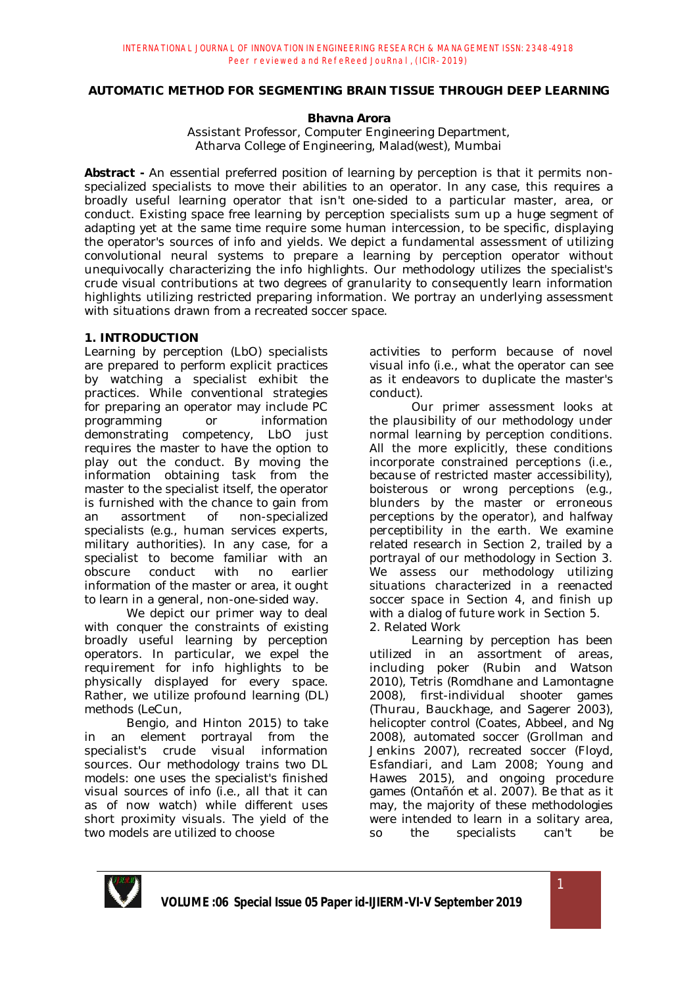# **AUTOMATIC METHOD FOR SEGMENTING BRAIN TISSUE THROUGH DEEP LEARNING**

# **Bhavna Arora**

Assistant Professor, Computer Engineering Department, Atharva College of Engineering, Malad(west), Mumbai

**Abstract -** An essential preferred position of learning by perception is that it permits nonspecialized specialists to move their abilities to an operator. In any case, this requires a broadly useful learning operator that isn't one-sided to a particular master, area, or conduct. Existing space free learning by perception specialists sum up a huge segment of adapting yet at the same time require some human intercession, to be specific, displaying the operator's sources of info and yields. We depict a fundamental assessment of utilizing convolutional neural systems to prepare a learning by perception operator without unequivocally characterizing the info highlights. Our methodology utilizes the specialist's crude visual contributions at two degrees of granularity to consequently learn information highlights utilizing restricted preparing information. We portray an underlying assessment with situations drawn from a recreated soccer space.

### **1. INTRODUCTION**

Learning by perception (LbO) specialists are prepared to perform explicit practices by watching a specialist exhibit the practices. While conventional strategies for preparing an operator may include PC programming or information demonstrating competency, LbO just requires the master to have the option to play out the conduct. By moving the information obtaining task from the master to the specialist itself, the operator is furnished with the chance to gain from an assortment of non-specialized specialists (e.g., human services experts, military authorities). In any case, for a specialist to become familiar with an obscure conduct with no earlier information of the master or area, it ought to learn in a general, non-one-sided way.

We depict our primer way to deal with conquer the constraints of existing broadly useful learning by perception operators. In particular, we expel the requirement for info highlights to be physically displayed for every space. Rather, we utilize profound learning (DL) methods (LeCun,

Bengio, and Hinton 2015) to take in an element portrayal from the specialist's crude visual information sources. Our methodology trains two DL models: one uses the specialist's finished visual sources of info (i.e., all that it can as of now watch) while different uses short proximity visuals. The yield of the two models are utilized to choose

activities to perform because of novel visual info (i.e., what the operator can see as it endeavors to duplicate the master's conduct).

Our primer assessment looks at the plausibility of our methodology under normal learning by perception conditions. All the more explicitly, these conditions incorporate constrained perceptions (i.e., because of restricted master accessibility), boisterous or wrong perceptions (e.g., blunders by the master or erroneous perceptions by the operator), and halfway perceptibility in the earth. We examine related research in Section 2, trailed by a portrayal of our methodology in Section 3. We assess our methodology utilizing situations characterized in a reenacted soccer space in Section 4, and finish up with a dialog of future work in Section 5. 2. Related Work

Learning by perception has been utilized in an assortment of areas, including poker (Rubin and Watson 2010), Tetris (Romdhane and Lamontagne 2008), first-individual shooter games (Thurau, Bauckhage, and Sagerer 2003), helicopter control (Coates, Abbeel, and Ng 2008), automated soccer (Grollman and Jenkins 2007), recreated soccer (Floyd, Esfandiari, and Lam 2008; Young and Hawes 2015), and ongoing procedure games (Ontañón et al. 2007). Be that as it may, the majority of these methodologies were intended to learn in a solitary area, so the specialists can't be

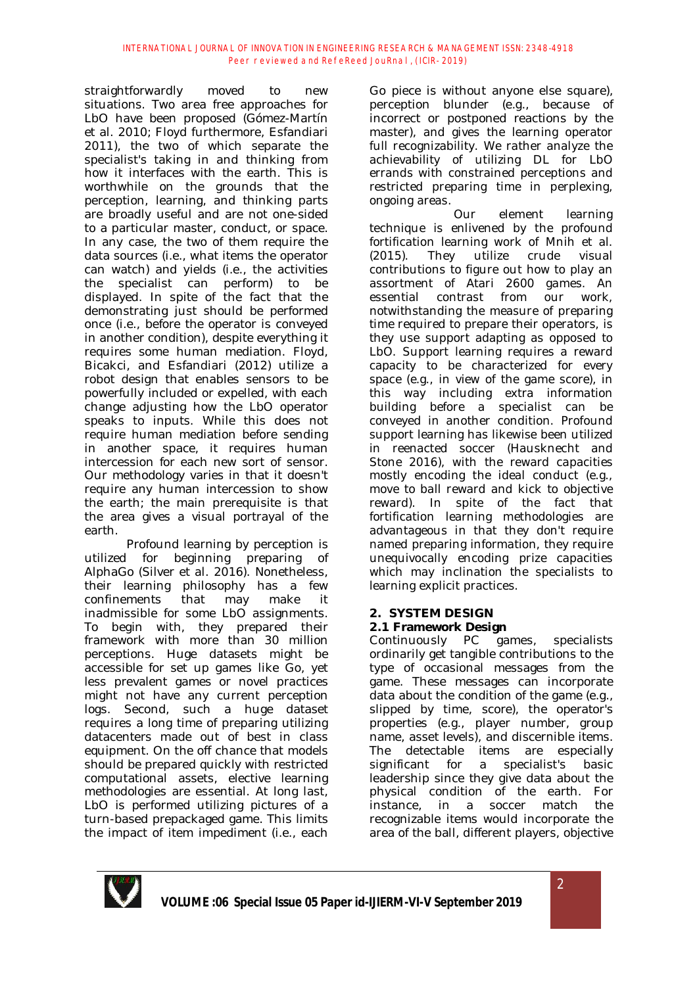straightforwardly moved to new situations. Two area free approaches for LbO have been proposed (Gómez-Martín et al. 2010; Floyd furthermore, Esfandiari 2011), the two of which separate the specialist's taking in and thinking from how it interfaces with the earth. This is worthwhile on the grounds that the perception, learning, and thinking parts are broadly useful and are not one-sided to a particular master, conduct, or space. In any case, the two of them require the data sources (i.e., what items the operator can watch) and yields (i.e., the activities the specialist can perform) to be displayed. In spite of the fact that the demonstrating just should be performed once (i.e., before the operator is conveyed in another condition), despite everything it requires some human mediation. Floyd, Bicakci, and Esfandiari (2012) utilize a robot design that enables sensors to be powerfully included or expelled, with each change adjusting how the LbO operator speaks to inputs. While this does not require human mediation before sending in another space, it requires human intercession for each new sort of sensor. Our methodology varies in that it doesn't require any human intercession to show the earth; the main prerequisite is that the area gives a visual portrayal of the earth.

Profound learning by perception is utilized for beginning preparing of AlphaGo (Silver et al. 2016). Nonetheless, their learning philosophy has a few confinements that may make it inadmissible for some LbO assignments. To begin with, they prepared their framework with more than 30 million perceptions. Huge datasets might be accessible for set up games like Go, yet less prevalent games or novel practices might not have any current perception logs. Second, such a huge dataset requires a long time of preparing utilizing datacenters made out of best in class equipment. On the off chance that models should be prepared quickly with restricted computational assets, elective learning methodologies are essential. At long last, LbO is performed utilizing pictures of a turn-based prepackaged game. This limits the impact of item impediment (i.e., each

Go piece is without anyone else square), perception blunder (e.g., because of incorrect or postponed reactions by the master), and gives the learning operator full recognizability. We rather analyze the achievability of utilizing DL for LbO errands with constrained perceptions and restricted preparing time in perplexing, ongoing areas.

Our element learning technique is enlivened by the profound fortification learning work of Mnih et al. (2015). They utilize crude visual contributions to figure out how to play an assortment of Atari 2600 games. An essential contrast from our work, notwithstanding the measure of preparing time required to prepare their operators, is they use support adapting as opposed to LbO. Support learning requires a reward capacity to be characterized for every space (e.g., in view of the game score), in this way including extra information building before a specialist can be conveyed in another condition. Profound support learning has likewise been utilized in reenacted soccer (Hausknecht and Stone 2016), with the reward capacities mostly encoding the ideal conduct (e.g., move to ball reward and kick to objective reward). In spite of the fact that fortification learning methodologies are advantageous in that they don't require named preparing information, they require unequivocally encoding prize capacities which may inclination the specialists to learning explicit practices.

# **2. SYSTEM DESIGN**

# **2.1 Framework Design**

Continuously PC games, specialists ordinarily get tangible contributions to the type of occasional messages from the game. These messages can incorporate data about the condition of the game (e.g., slipped by time, score), the operator's properties (e.g., player number, group name, asset levels), and discernible items. The detectable items are especially significant for a specialist's basic leadership since they give data about the physical condition of the earth. For instance, in a soccer match the recognizable items would incorporate the area of the ball, different players, objective

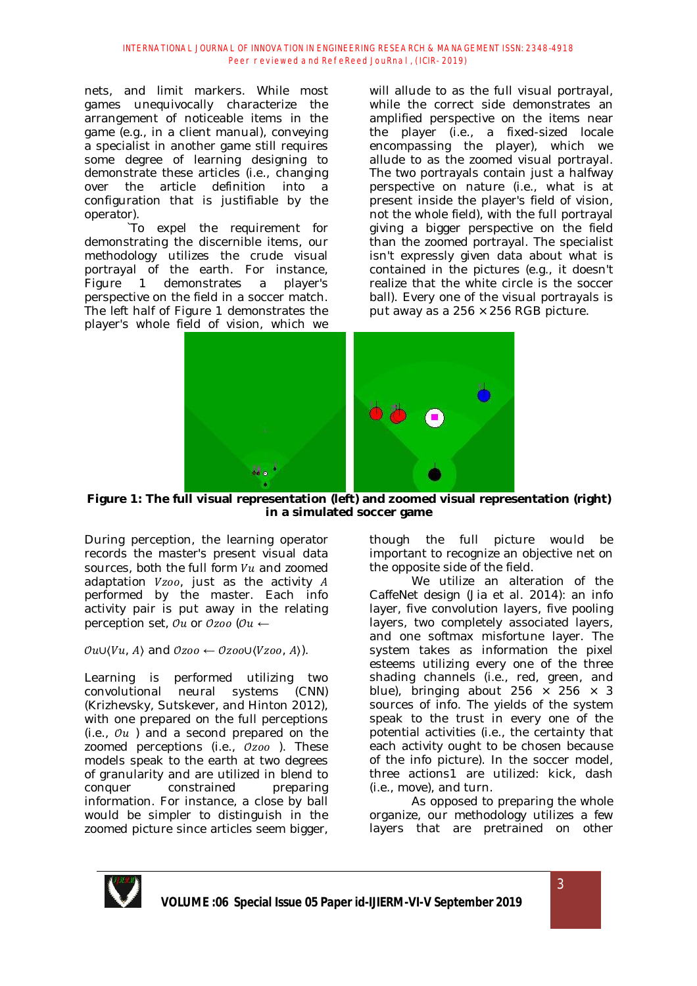nets, and limit markers. While most games unequivocally characterize the arrangement of noticeable items in the game (e.g., in a client manual), conveying a specialist in another game still requires some degree of learning designing to demonstrate these articles (i.e., changing over the article definition into a configuration that is justifiable by the operator).

`To expel the requirement for demonstrating the discernible items, our methodology utilizes the crude visual portrayal of the earth. For instance, Figure 1 demonstrates a player's perspective on the field in a soccer match. The left half of Figure 1 demonstrates the player's whole field of vision, which we

will allude to as the full visual portrayal, while the correct side demonstrates an amplified perspective on the items near the player (i.e., a fixed-sized locale encompassing the player), which we allude to as the zoomed visual portrayal. The two portrayals contain just a halfway perspective on nature (i.e., what is at present inside the player's field of vision, not the whole field), with the full portrayal giving a bigger perspective on the field than the zoomed portrayal. The specialist isn't expressly given data about what is contained in the pictures (e.g., it doesn't realize that the white circle is the soccer ball). Every one of the visual portrayals is put away as a  $256 \times 256$  RGB picture.



**Figure 1: The full visual representation (left) and zoomed visual representation (right) in a simulated soccer game**

During perception, the learning operator records the master's present visual data sources, both the full form  $Vu$  and zoomed adaptation  $Vzoo$ , just as the activity  $A$ performed by the master. Each info activity pair is put away in the relating perception set,  $\partial u$  or  $\partial z$ oo ( $\partial u$   $\leftarrow$ 

# $\mathcal{O}u\cup\langle Vu, A\rangle$  and  $\mathcal{O}zoo \leftarrow \mathcal{O}zoo\cup\langle Vzoo, A\rangle$ .

Learning is performed utilizing two convolutional neural systems (CNN) (Krizhevsky, Sutskever, and Hinton 2012), with one prepared on the full perceptions (i.e.,  $\mathcal{O}u$ ) and a second prepared on the zoomed perceptions (i.e.,  $Ozoo$ ). These models speak to the earth at two degrees of granularity and are utilized in blend to conquer constrained preparing information. For instance, a close by ball would be simpler to distinguish in the zoomed picture since articles seem bigger,

though the full picture would be important to recognize an objective net on the opposite side of the field.

We utilize an alteration of the CaffeNet design (Jia et al. 2014): an info layer, five convolution layers, five pooling layers, two completely associated layers, and one softmax misfortune layer. The system takes as information the pixel esteems utilizing every one of the three shading channels (i.e., red, green, and blue), bringing about 256  $\times$  256  $\times$  3 sources of info. The yields of the system speak to the trust in every one of the potential activities (i.e., the certainty that each activity ought to be chosen because of the info picture). In the soccer model, three actions1 are utilized: kick, dash (i.e., move), and turn.

As opposed to preparing the whole organize, our methodology utilizes a few layers that are pretrained on other

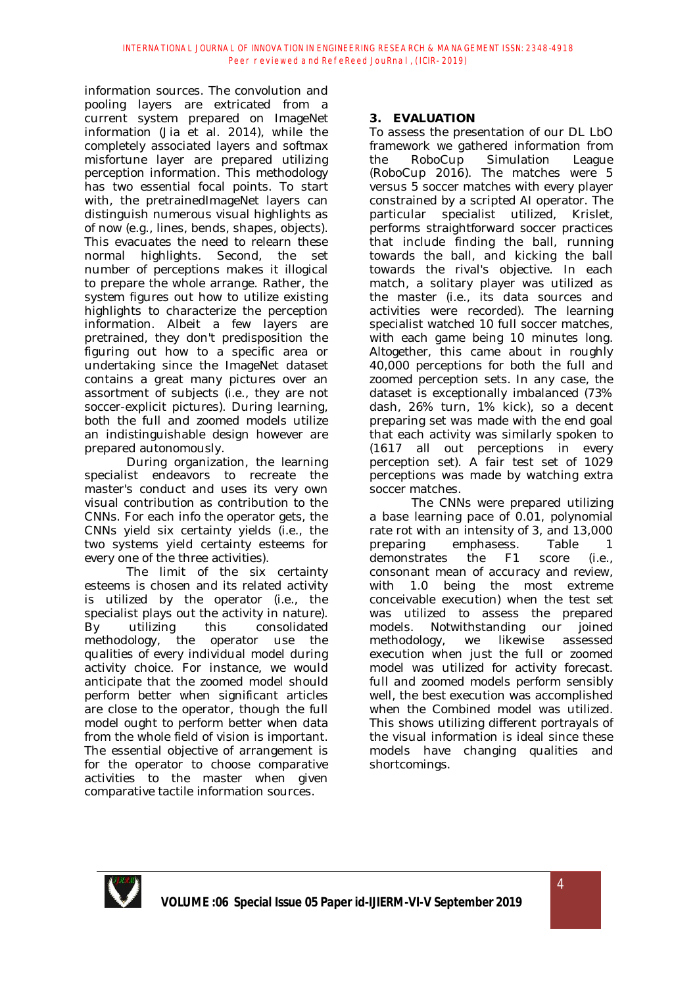information sources. The convolution and pooling layers are extricated from a current system prepared on ImageNet information (Jia et al. 2014), while the completely associated layers and softmax misfortune layer are prepared utilizing perception information. This methodology has two essential focal points. To start with, the pretrainedImageNet layers can distinguish numerous visual highlights as of now (e.g., lines, bends, shapes, objects). This evacuates the need to relearn these normal highlights. Second, the set number of perceptions makes it illogical to prepare the whole arrange. Rather, the system figures out how to utilize existing highlights to characterize the perception information. Albeit a few layers are pretrained, they don't predisposition the figuring out how to a specific area or undertaking since the ImageNet dataset contains a great many pictures over an assortment of subjects (i.e., they are not soccer-explicit pictures). During learning, both the full and zoomed models utilize an indistinguishable design however are prepared autonomously.

During organization, the learning specialist endeavors to recreate the master's conduct and uses its very own visual contribution as contribution to the CNNs. For each info the operator gets, the CNNs yield six certainty yields (i.e., the two systems yield certainty esteems for every one of the three activities).

The limit of the six certainty esteems is chosen and its related activity is utilized by the operator (i.e., the specialist plays out the activity in nature). By utilizing this consolidated methodology, the operator use the qualities of every individual model during activity choice. For instance, we would anticipate that the zoomed model should perform better when significant articles are close to the operator, though the full model ought to perform better when data from the whole field of vision is important. The essential objective of arrangement is for the operator to choose comparative activities to the master when given comparative tactile information sources.

# **3. EVALUATION**

To assess the presentation of our DL LbO framework we gathered information from the RoboCup Simulation League (RoboCup 2016). The matches were 5 versus 5 soccer matches with every player constrained by a scripted AI operator. The particular specialist utilized, Krislet, performs straightforward soccer practices that include finding the ball, running towards the ball, and kicking the ball towards the rival's objective. In each match, a solitary player was utilized as the master (i.e., its data sources and activities were recorded). The learning specialist watched 10 full soccer matches, with each game being 10 minutes long. Altogether, this came about in roughly 40,000 perceptions for both the full and zoomed perception sets. In any case, the dataset is exceptionally imbalanced (73% dash, 26% turn, 1% kick), so a decent preparing set was made with the end goal that each activity was similarly spoken to (1617 all out perceptions in every perception set). A fair test set of 1029 perceptions was made by watching extra soccer matches.

The CNNs were prepared utilizing a base learning pace of 0.01, polynomial rate rot with an intensity of 3, and 13,000 preparing emphasess. Table 1 demonstrates the F1 score (i.e., consonant mean of accuracy and review, with 1.0 being the most extreme conceivable execution) when the test set was utilized to assess the prepared models. Notwithstanding our joined methodology, we likewise assessed execution when just the full or zoomed model was utilized for activity forecast. full and zoomed models perform sensibly well, the best execution was accomplished when the Combined model was utilized. This shows utilizing different portrayals of the visual information is ideal since these models have changing qualities and shortcomings.

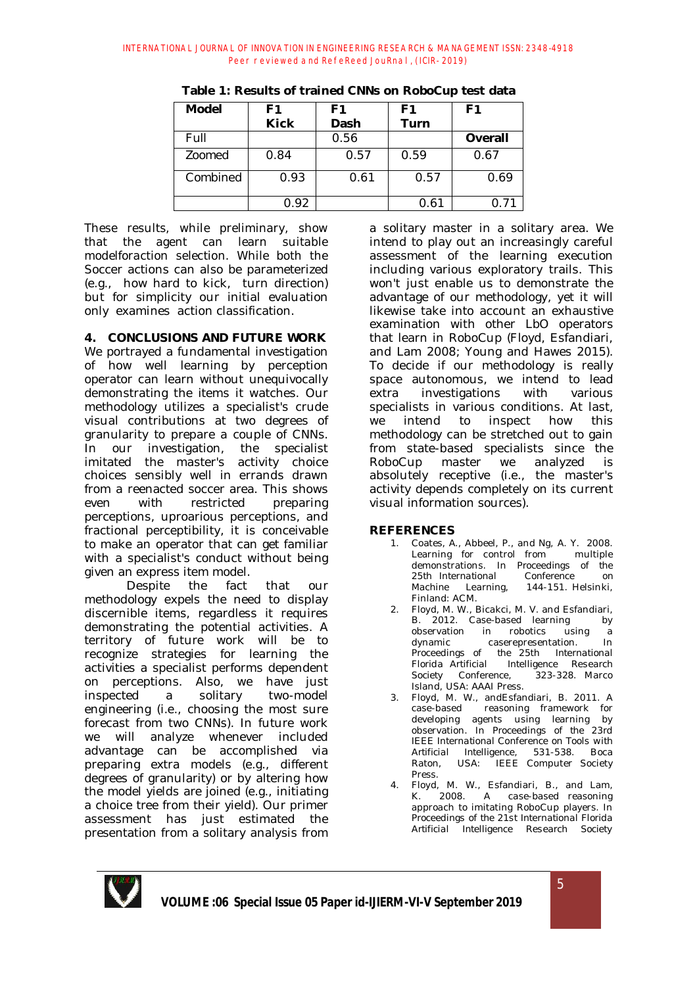| Model    | F1          | F1   | F1   | F <sub>1</sub> |
|----------|-------------|------|------|----------------|
|          | <b>Kick</b> | Dash | Turn |                |
| Full     |             | 0.56 |      | Overall        |
| Zoomed   | 0.84        | 0.57 | 0.59 | 0.67           |
| Combined | 0.93        | 0.61 | 0.57 | 0.69           |
|          | 0.92        |      | ገ 61 |                |

**Table 1: Results of trained CNNs on RoboCup test data**

These results, while preliminary, show that the agent can learn suitable modelforaction selection. While both the Soccer actions can also be parameterized (e.g., how hard to kick, turn direction) but for simplicity our initial evaluation only examines action classification.

# **4. CONCLUSIONS AND FUTURE WORK**

We portrayed a fundamental investigation of how well learning by perception operator can learn without unequivocally demonstrating the items it watches. Our methodology utilizes a specialist's crude visual contributions at two degrees of granularity to prepare a couple of CNNs. In our investigation, the specialist imitated the master's activity choice choices sensibly well in errands drawn from a reenacted soccer area. This shows even with restricted preparing perceptions, uproarious perceptions, and fractional perceptibility, it is conceivable to make an operator that can get familiar with a specialist's conduct without being given an express item model.

Despite the fact that our methodology expels the need to display discernible items, regardless it requires demonstrating the potential activities. A territory of future work will be to recognize strategies for learning the activities a specialist performs dependent on perceptions. Also, we have just inspected a solitary two-model engineering (i.e., choosing the most sure forecast from two CNNs). In future work we will analyze whenever included advantage can be accomplished via preparing extra models (e.g., different degrees of granularity) or by altering how the model yields are joined (e.g., initiating a choice tree from their yield). Our primer assessment has just estimated the presentation from a solitary analysis from

a solitary master in a solitary area. We intend to play out an increasingly careful assessment of the learning execution including various exploratory trails. This won't just enable us to demonstrate the advantage of our methodology, yet it will likewise take into account an exhaustive examination with other LbO operators that learn in RoboCup (Floyd, Esfandiari, and Lam 2008; Young and Hawes 2015). To decide if our methodology is really space autonomous, we intend to lead extra investigations with various specialists in various conditions. At last, we intend to inspect how this methodology can be stretched out to gain from state-based specialists since the RoboCup master we analyzed is absolutely receptive (i.e., the master's activity depends completely on its current visual information sources).

### **REFERENCES**

- 1. Coates, A., Abbeel, P., and Ng, A. Y. 2008.<br>Learning for control from multiple Learning for control from demonstrations. In *Proceedings of the 25th International Conference on Machine Learning*, 144-151. Helsinki, Finland: ACM.
- 2. Floyd, M. W., Bicakci, M. V. and Esfandiari, B. 2012. Case-based learning by observation in robotics using a dynamic caserepresentation. In *Proceedings of the 25th International Florida Artificial Intelligence Research Society Conference*, 323-328. Marco Island, USA: AAAI Press.
- 3. Floyd, M. W., andEsfandiari, B. 2011. A case-based reasoning framework for developing agents using learning by observation. In *Proceedings of the 23rd IEEE International Conference on Tools with Artificial Intelligence*, 531-538. Boca Raton, USA: IEEE Computer Society Press.
- 4. Floyd, M. W., Esfandiari, B., and Lam, K. 2008. A case-based reasoning approach to imitating RoboCup players. In *Proceedings of the 21st International Florida Artificial Intelligence Research Society*